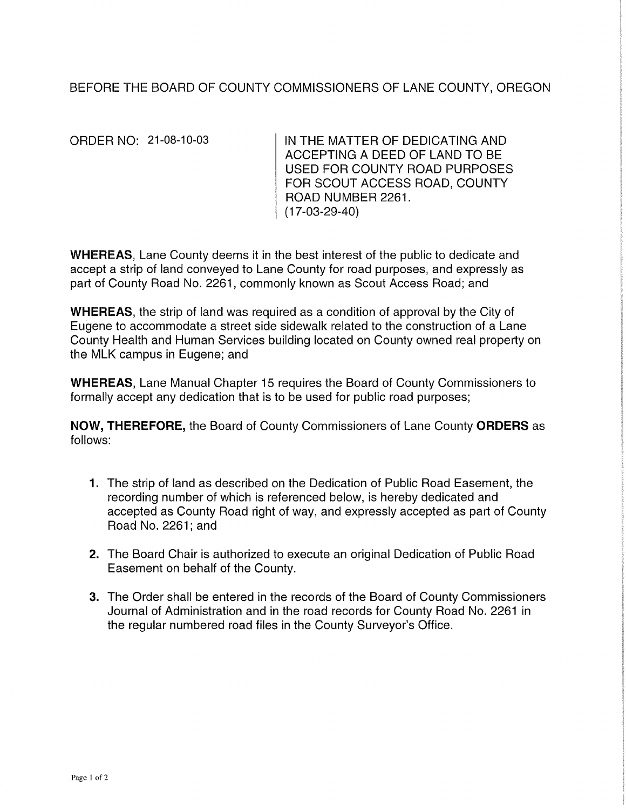## BEFORE THE BOARD OF COUNTY COMMISSIONERS OF LANE COUNTY, OREGON

ORDER NO: 21-08-10-03

IN THE MATTER OF DEDICATING AND ACCEPTING A DEED OF LAND TO BE USED FOR COUNTY ROAD PURPOSES FOR SCOUT ACCESS ROAD, COUNTY ROAD NUMBER 2261. (17-03-29-40)

WHEREAS, Lane County deems it in the best interest of the public to dedicate and accept a strip of land conveyed to Lane County for road purposes, and expressly as part of County Road No. 2261, commonly known as Scout Access Road; and

WHEREAS, the strip of land was required as a condition of approval by the City of Eugene to accommodate a street side sidewalk related to the construction of a Lane County Health and Human Services building located on County owned real property on the MLK campus in Eugene; and

**WHEREAS,** Lane Manual Chapter 15 requires the Board of County Commissioners to formally accept any dedication that is to be used for public road purposes;

**NOW, THEREFORE,** the Board of County Commissioners of Lane County **ORDERS** as follows:

- **1.** The strip of land as described on the Dedication of Public Road Easement, the recording number of which is referenced below, is hereby dedicated and accepted as County Road right of way, and expressly accepted as part of County Road No. 2261; and
- 2. The Board Chair is authorized to execute an original Dedication of Public Road Easement on behalf of the County.
- 3. The Order shall be entered in the records of the Board of County Commissioners Journal of Administration and in the road records for County Road No. 2261 in the regular numbered road files in the County Surveyor's Office.